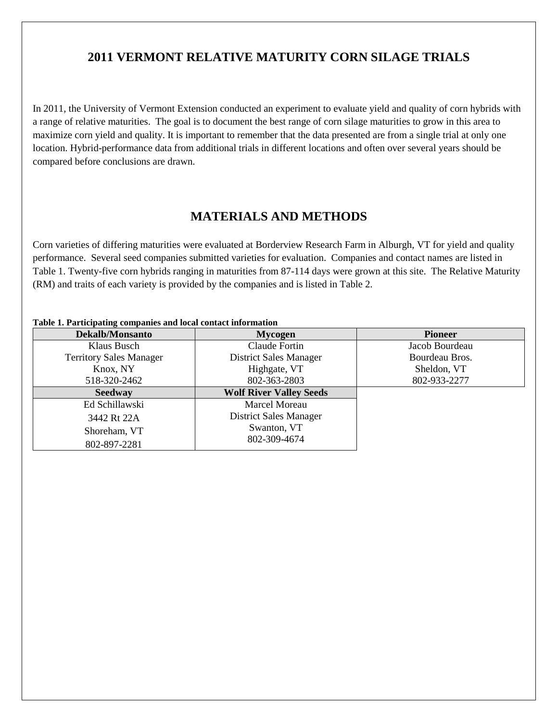# **2011 VERMONT RELATIVE MATURITY CORN SILAGE TRIALS**

In 2011, the University of Vermont Extension conducted an experiment to evaluate yield and quality of corn hybrids with a range of relative maturities. The goal is to document the best range of corn silage maturities to grow in this area to maximize corn yield and quality. It is important to remember that the data presented are from a single trial at only one location. Hybrid-performance data from additional trials in different locations and often over several years should be compared before conclusions are drawn.

## **MATERIALS AND METHODS**

Corn varieties of differing maturities were evaluated at Borderview Research Farm in Alburgh, VT for yield and quality performance. Several seed companies submitted varieties for evaluation. Companies and contact names are listed in Table 1. Twenty-five corn hybrids ranging in maturities from 87-114 days were grown at this site. The Relative Maturity (RM) and traits of each variety is provided by the companies and is listed in Table 2.

| Dekalb/Monsanto                | <b>Mycogen</b>                 | <b>Pioneer</b> |  |  |  |  |  |
|--------------------------------|--------------------------------|----------------|--|--|--|--|--|
| Klaus Busch                    | Claude Fortin                  | Jacob Bourdeau |  |  |  |  |  |
| <b>Territory Sales Manager</b> | District Sales Manager         | Bourdeau Bros. |  |  |  |  |  |
| Knox, NY                       | Highgate, VT                   | Sheldon, VT    |  |  |  |  |  |
| 518-320-2462                   | 802-363-2803                   | 802-933-2277   |  |  |  |  |  |
| <b>Seedway</b>                 | <b>Wolf River Valley Seeds</b> |                |  |  |  |  |  |
| Ed Schillawski                 | Marcel Moreau                  |                |  |  |  |  |  |
| 3442 Rt 22A                    | District Sales Manager         |                |  |  |  |  |  |
| Shoreham, VT                   | Swanton, VT                    |                |  |  |  |  |  |
| 802-897-2281                   | 802-309-4674                   |                |  |  |  |  |  |

#### **Table 1. Participating companies and local contact information**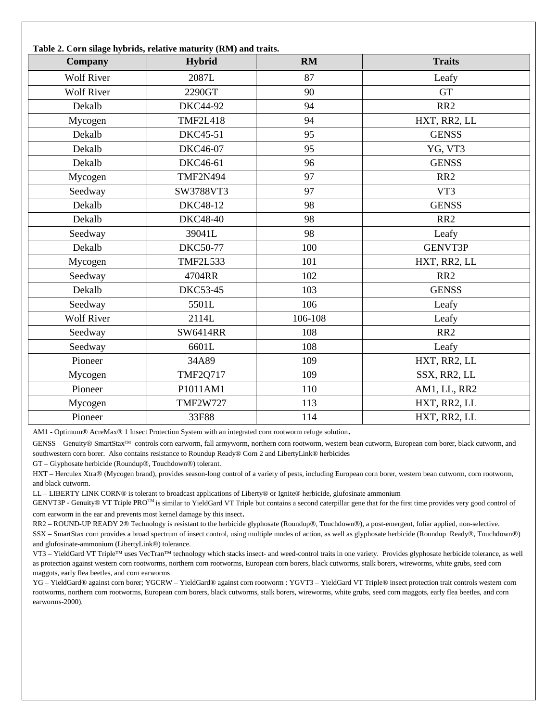| Company           | Hybrid          | RM      | <b>Traits</b>   |
|-------------------|-----------------|---------|-----------------|
| <b>Wolf River</b> | 2087L           | 87      | Leafy           |
| <b>Wolf River</b> | 2290GT          | 90      | <b>GT</b>       |
| Dekalb            | <b>DKC44-92</b> | 94      | RR <sub>2</sub> |
| Mycogen           | <b>TMF2L418</b> | 94      | HXT, RR2, LL    |
| Dekalb            | <b>DKC45-51</b> | 95      | <b>GENSS</b>    |
| Dekalb            | <b>DKC46-07</b> | 95      | YG, VT3         |
| Dekalb            | DKC46-61        | 96      | <b>GENSS</b>    |
| Mycogen           | <b>TMF2N494</b> | 97      | RR <sub>2</sub> |
| Seedway           | SW3788VT3       | 97      | VT3             |
| Dekalb            | <b>DKC48-12</b> | 98      | <b>GENSS</b>    |
| Dekalb            | <b>DKC48-40</b> | 98      | RR <sub>2</sub> |
| Seedway           | 39041L          | 98      | Leafy           |
| Dekalb            | <b>DKC50-77</b> | 100     | <b>GENVT3P</b>  |
| Mycogen           | <b>TMF2L533</b> | 101     | HXT, RR2, LL    |
| Seedway           | 4704RR          | 102     | RR <sub>2</sub> |
| Dekalb            | <b>DKC53-45</b> | 103     | <b>GENSS</b>    |
| Seedway           | 5501L           | 106     | Leafy           |
| <b>Wolf River</b> | 2114L           | 106-108 | Leafy           |
| Seedway           | <b>SW6414RR</b> | 108     | RR <sub>2</sub> |
| Seedway           | 6601L           | 108     | Leafy           |
| Pioneer           | 34A89           | 109     | HXT, RR2, LL    |
| Mycogen           | <b>TMF2Q717</b> | 109     | SSX, RR2, LL    |
| Pioneer           | P1011AM1        | 110     | AM1, LL, RR2    |
| Mycogen           | <b>TMF2W727</b> | 113     | HXT, RR2, LL    |
| Pioneer           | 33F88           | 114     | HXT, RR2, LL    |

AM1 **-** Optimum® AcreMax® 1 Insect Protection System with an integrated corn rootworm refuge solution.

GENSS – Genuity® SmartStax<sup>™</sup> controls corn earworm, fall armyworm, northern corn rootworm, western bean cutworm, European corn borer, black cutworm, and southwestern corn borer. Also contains resistance to Roundup Ready® Corn 2 and LibertyLink® herbicides

GT – Glyphosate herbicide (Roundup®, Touchdown®) tolerant.

HXT – Herculex Xtra® (Mycogen brand), provides season-long control of a variety of pests, including European corn borer, western bean cutworm, corn rootworm, and black cutworm.

LL – LIBERTY LINK CORN® is tolerant to broadcast applications of Liberty® or Ignite® herbicide, glufosinate ammonium

GENVT3P - Genuity® VT Triple PRO<sup>TM</sup> is similar to YieldGard VT Triple but contains a second caterpillar gene that for the first time provides very good control of corn earworm in the ear and prevents most kernel damage by this insect.

RR2 – ROUND-UP READY 2® Technology is resistant to the herbicide glyphosate (Roundup®, Touchdown®), a post-emergent, foliar applied, non-selective.

SSX – SmartStax corn provides a broad spectrum of insect control, using multiple modes of action, as well as glyphosate herbicide (Roundup Ready®, Touchdown®) and glufosinate-ammonium (LibertyLink®) tolerance.

VT3 – YieldGard VT Triple™ uses VecTran™ technology which stacks insect- and weed-control traits in one variety. Provides glyphosate herbicide tolerance, as well as protection against western corn rootworms, northern corn rootworms, European corn borers, black cutworms, stalk borers, wireworms, white grubs, seed corn maggots, early flea beetles, and corn earworms

YG – YieldGard® against corn borer; YGCRW – YieldGard® against corn rootworm : YGVT3 – YieldGard VT Triple® insect protection trait controls western corn rootworms, northern corn rootworms, European corn borers, black cutworms, stalk borers, wireworms, white grubs, seed corn maggots, early flea beetles, and corn earworms-2000).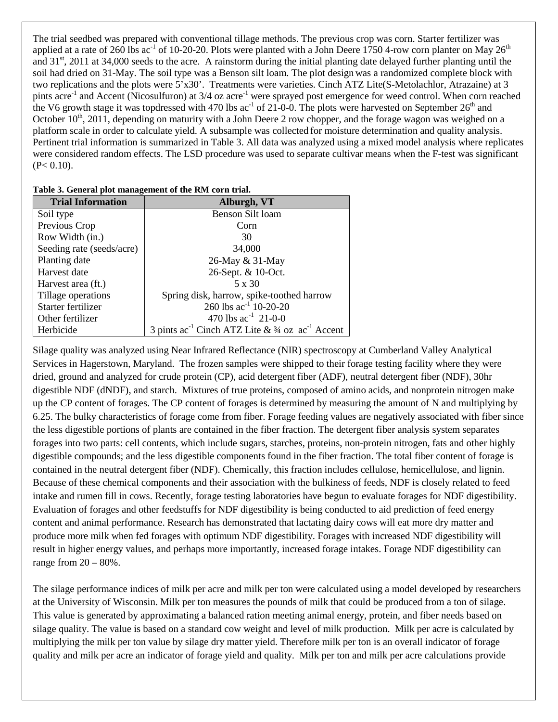The trial seedbed was prepared with conventional tillage methods. The previous crop was corn. Starter fertilizer was applied at a rate of 260 lbs ac<sup>-1</sup> of 10-20-20. Plots were planted with a John Deere 1750 4-row corn planter on May 26<sup>th</sup> and 31<sup>st</sup>, 2011 at 34,000 seeds to the acre. A rainstorm during the initial planting date delayed further planting until the soil had dried on 31-May. The soil type was a Benson silt loam. The plot design was a randomized complete block with two replications and the plots were 5'x30'. Treatments were varieties. Cinch ATZ Lite(S-Metolachlor, Atrazaine) at 3 pints acre<sup>-1</sup> and Accent (Nicosulfuron) at 3/4 oz acre<sup>-1</sup> were sprayed post emergence for weed control. When corn reached the V6 growth stage it was topdressed with 470 lbs ac<sup>-1</sup> of 21-0-0. The plots were harvested on September 26<sup>th</sup> and October  $10^{th}$ , 2011, depending on maturity with a John Deere 2 row chopper, and the forage wagon was weighed on a platform scale in order to calculate yield. A subsample was collected for moisture determination and quality analysis. Pertinent trial information is summarized in Table 3. All data was analyzed using a mixed model analysis where replicates were considered random effects. The LSD procedure was used to separate cultivar means when the F-test was significant  $(P< 0.10)$ .

| <b>Trial Information</b>  | Alburgh, VT                                                          |
|---------------------------|----------------------------------------------------------------------|
| Soil type                 | <b>Benson Silt loam</b>                                              |
| Previous Crop             | Corn                                                                 |
| Row Width (in.)           | 30                                                                   |
| Seeding rate (seeds/acre) | 34,000                                                               |
| Planting date             | 26-May & 31-May                                                      |
| Harvest date              | 26-Sept. & 10-Oct.                                                   |
| Harvest area (ft.)        | 5 x 30                                                               |
| Tillage operations        | Spring disk, harrow, spike-toothed harrow                            |
| Starter fertilizer        | 260 lbs $ac^{-1}$ 10-20-20                                           |
| Other fertilizer          | 470 lbs $ac^{-1}$ 21-0-0                                             |
| Herbicide                 | 3 pints $ac^{-1}$ Cinch ATZ Lite & $\frac{3}{4}$ oz $ac^{-1}$ Accent |

Silage quality was analyzed using Near Infrared Reflectance (NIR) spectroscopy at Cumberland Valley Analytical Services in Hagerstown, Maryland. The frozen samples were shipped to their forage testing facility where they were dried, ground and analyzed for crude protein (CP), acid detergent fiber (ADF), neutral detergent fiber (NDF), 30hr digestible NDF (dNDF), and starch. Mixtures of true proteins, composed of amino acids, and nonprotein nitrogen make up the CP content of forages. The CP content of forages is determined by measuring the amount of N and multiplying by 6.25. The bulky characteristics of forage come from fiber. Forage feeding values are negatively associated with fiber since the less digestible portions of plants are contained in the fiber fraction. The detergent fiber analysis system separates forages into two parts: cell contents, which include sugars, starches, proteins, non-protein nitrogen, fats and other highly digestible compounds; and the less digestible components found in the fiber fraction. The total fiber content of forage is contained in the neutral detergent fiber (NDF). Chemically, this fraction includes cellulose, hemicellulose, and lignin. Because of these chemical components and their association with the bulkiness of feeds, NDF is closely related to feed intake and rumen fill in cows. Recently, forage testing laboratories have begun to evaluate forages for NDF digestibility. Evaluation of forages and other feedstuffs for NDF digestibility is being conducted to aid prediction of feed energy content and animal performance. Research has demonstrated that lactating dairy cows will eat more dry matter and produce more milk when fed forages with optimum NDF digestibility. Forages with increased NDF digestibility will result in higher energy values, and perhaps more importantly, increased forage intakes. Forage NDF digestibility can range from  $20 - 80\%$ .

The silage performance indices of milk per acre and milk per ton were calculated using a model developed by researchers at the University of Wisconsin. Milk per ton measures the pounds of milk that could be produced from a ton of silage. This value is generated by approximating a balanced ration meeting animal energy, protein, and fiber needs based on silage quality. The value is based on a standard cow weight and level of milk production. Milk per acre is calculated by multiplying the milk per ton value by silage dry matter yield. Therefore milk per ton is an overall indicator of forage quality and milk per acre an indicator of forage yield and quality. Milk per ton and milk per acre calculations provide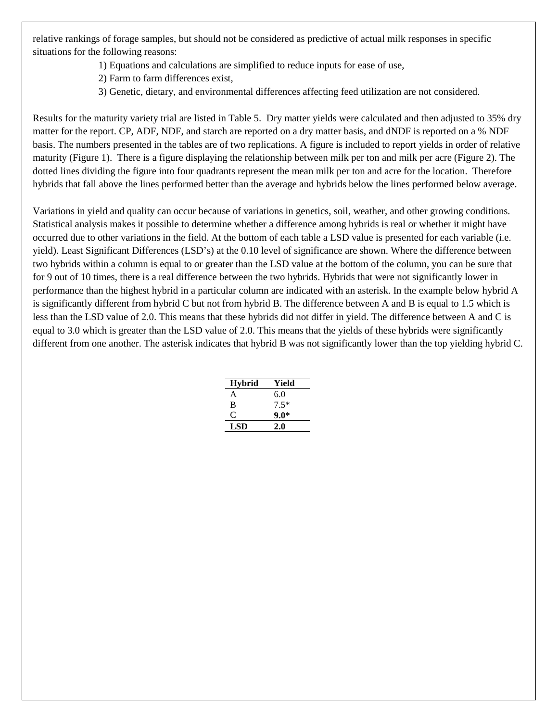relative rankings of forage samples, but should not be considered as predictive of actual milk responses in specific situations for the following reasons:

- 1) Equations and calculations are simplified to reduce inputs for ease of use,
- 2) Farm to farm differences exist,
- 3) Genetic, dietary, and environmental differences affecting feed utilization are not considered.

Results for the maturity variety trial are listed in Table 5. Dry matter yields were calculated and then adjusted to 35% dry matter for the report. CP, ADF, NDF, and starch are reported on a dry matter basis, and dNDF is reported on a % NDF basis. The numbers presented in the tables are of two replications. A figure is included to report yields in order of relative maturity (Figure 1). There is a figure displaying the relationship between milk per ton and milk per acre (Figure 2). The dotted lines dividing the figure into four quadrants represent the mean milk per ton and acre for the location. Therefore hybrids that fall above the lines performed better than the average and hybrids below the lines performed below average.

Variations in yield and quality can occur because of variations in genetics, soil, weather, and other growing conditions. Statistical analysis makes it possible to determine whether a difference among hybrids is real or whether it might have occurred due to other variations in the field. At the bottom of each table a LSD value is presented for each variable (i.e. yield). Least Significant Differences (LSD's) at the 0.10 level of significance are shown. Where the difference between two hybrids within a column is equal to or greater than the LSD value at the bottom of the column, you can be sure that for 9 out of 10 times, there is a real difference between the two hybrids. Hybrids that were not significantly lower in performance than the highest hybrid in a particular column are indicated with an asterisk. In the example below hybrid A is significantly different from hybrid C but not from hybrid B. The difference between A and B is equal to 1.5 which is less than the LSD value of 2.0. This means that these hybrids did not differ in yield. The difference between A and C is equal to 3.0 which is greater than the LSD value of 2.0. This means that the yields of these hybrids were significantly different from one another. The asterisk indicates that hybrid B was not significantly lower than the top yielding hybrid C.

| <b>Hybrid</b> | Yield  |
|---------------|--------|
| A             | 6.0    |
| B             | $7.5*$ |
| €             | $9.0*$ |
| LSD           | 2.0    |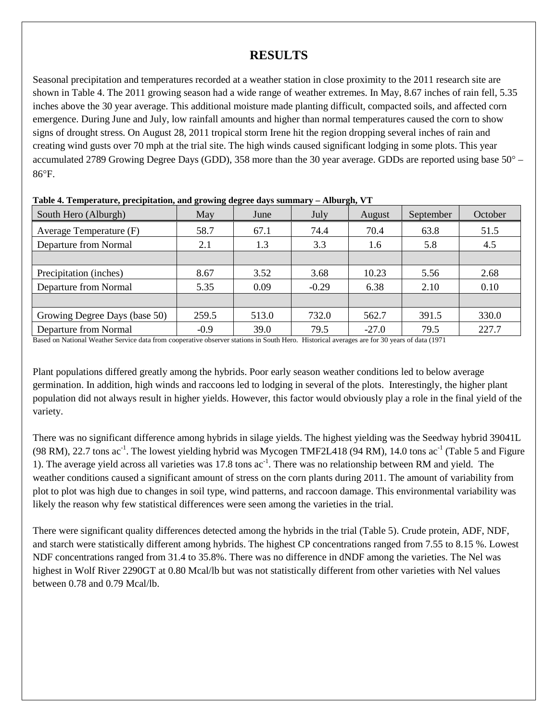### **RESULTS**

Seasonal precipitation and temperatures recorded at a weather station in close proximity to the 2011 research site are shown in Table 4. The 2011 growing season had a wide range of weather extremes. In May, 8.67 inches of rain fell, 5.35 inches above the 30 year average. This additional moisture made planting difficult, compacted soils, and affected corn emergence. During June and July, low rainfall amounts and higher than normal temperatures caused the corn to show signs of drought stress. On August 28, 2011 tropical storm Irene hit the region dropping several inches of rain and creating wind gusts over 70 mph at the trial site. The high winds caused significant lodging in some plots. This year accumulated 2789 Growing Degree Days (GDD), 358 more than the 30 year average. GDDs are reported using base 50° – 86°F.

|                               | $\mathbf{\sigma}$<br>888 |       |         | $\rightarrow$ |           |         |  |
|-------------------------------|--------------------------|-------|---------|---------------|-----------|---------|--|
| South Hero (Alburgh)          | May                      | June  |         | August        | September | October |  |
| Average Temperature (F)       | 58.7                     | 67.1  |         | 70.4          | 63.8      | 51.5    |  |
| Departure from Normal         | 2.1                      | 1.3   | 3.3     | 1.6           | 5.8       | 4.5     |  |
|                               |                          |       |         |               |           |         |  |
| Precipitation (inches)        | 8.67                     | 3.52  | 3.68    | 10.23         | 5.56      | 2.68    |  |
| Departure from Normal         | 5.35                     | 0.09  | $-0.29$ | 6.38          | 2.10      | 0.10    |  |
|                               |                          |       |         |               |           |         |  |
| Growing Degree Days (base 50) | 259.5                    | 513.0 | 732.0   | 562.7         | 391.5     | 330.0   |  |
| Departure from Normal         | $-0.9$                   | 39.0  | 79.5    | $-27.0$       | 79.5      | 227.7   |  |

**Table 4. Temperature, precipitation, and growing degree days summary – Alburgh, VT**

Based on National Weather Service data from cooperative observer stations in South Hero. Historical averages are for 30 years of data (1971

Plant populations differed greatly among the hybrids. Poor early season weather conditions led to below average germination. In addition, high winds and raccoons led to lodging in several of the plots. Interestingly, the higher plant population did not always result in higher yields. However, this factor would obviously play a role in the final yield of the variety.

There was no significant difference among hybrids in silage yields. The highest yielding was the Seedway hybrid 39041L (98 RM), 22.7 tons  $ac^{-1}$ . The lowest yielding hybrid was Mycogen TMF2L418 (94 RM), 14.0 tons  $ac^{-1}$  (Table 5 and Figure 1). The average yield across all varieties was 17.8 tons ac<sup>-1</sup>. There was no relationship between RM and yield. The weather conditions caused a significant amount of stress on the corn plants during 2011. The amount of variability from plot to plot was high due to changes in soil type, wind patterns, and raccoon damage. This environmental variability was likely the reason why few statistical differences were seen among the varieties in the trial.

There were significant quality differences detected among the hybrids in the trial (Table 5). Crude protein, ADF, NDF, and starch were statistically different among hybrids. The highest CP concentrations ranged from 7.55 to 8.15 %. Lowest NDF concentrations ranged from 31.4 to 35.8%. There was no difference in dNDF among the varieties. The Nel was highest in Wolf River 2290GT at 0.80 Mcal/lb but was not statistically different from other varieties with Nel values between 0.78 and 0.79 Mcal/lb.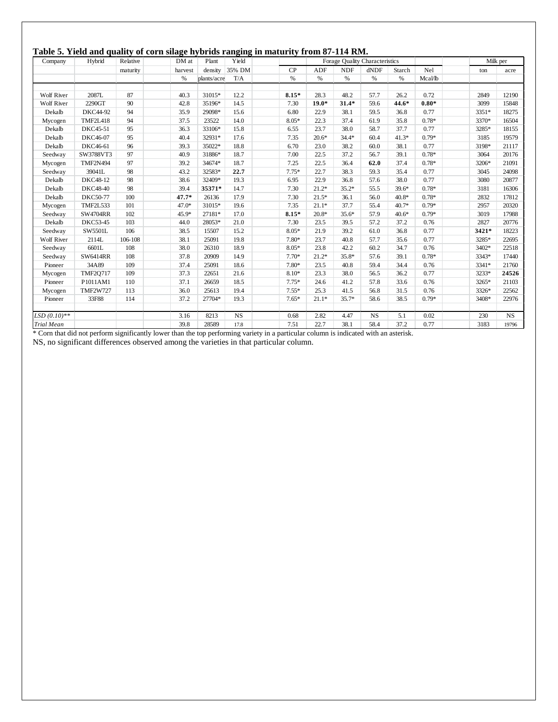#### **Table 5. Yield and quality of corn silage hybrids ranging in maturity from 87-114 RM.**

| Company           | Hybrid          | Relative | DM at   | Plant       | Yield     | Forage Quality Characteristics |         |  |            |             |         |         | Milk per |           |
|-------------------|-----------------|----------|---------|-------------|-----------|--------------------------------|---------|--|------------|-------------|---------|---------|----------|-----------|
|                   |                 | maturity | harvest | density     | 35% DM    | CP                             | ADF     |  | <b>NDF</b> | dNDF        | Starch  | Nel     | ton      | acre      |
|                   |                 |          | $\%$    | plants/acre | T/A       | $\%$                           | $\%$    |  | $\%$       | %           | $\%$    | Mcal/lb |          |           |
|                   |                 |          |         |             |           |                                |         |  |            |             |         |         |          |           |
| <b>Wolf River</b> | 2087L           | 87       | 40.3    | 31015*      | 12.2      | $8.15*$                        | 28.3    |  | 48.2       | 57.7        | 26.2    | 0.72    | 2849     | 12190     |
| <b>Wolf River</b> | 2290GT          | 90       | 42.8    | 35196*      | 14.5      | 7.30                           | $19.0*$ |  | $31.4*$    | 59.6        | 44.6*   | $0.80*$ | 3099     | 15848     |
| Dekalb            | DKC44-92        | 94       | 35.9    | 29098*      | 15.6      | 6.80                           | 22.9    |  | 38.1       | 59.5        | 36.8    | 0.77    | 3351*    | 18275     |
| Mycogen           | <b>TMF2L418</b> | 94       | 37.5    | 23522       | 14.0      | $8.05*$                        | 22.3    |  | 37.4       | 61.9        | 35.8    | $0.78*$ | 3370*    | 16504     |
| Dekalb            | DKC45-51        | 95       | 36.3    | 33106*      | 15.8      | 6.55                           | 23.7    |  | 38.0       | 58.7        | 37.7    | 0.77    | 3285*    | 18155     |
| Dekalb            | DKC46-07        | 95       | 40.4    | 32931*      | 17.6      | 7.35                           | $20.6*$ |  | $34.4*$    | 60.4        | $41.3*$ | $0.79*$ | 3185     | 19579     |
| Dekalb            | DKC46-61        | 96       | 39.3    | 35022*      | 18.8      | 6.70                           | 23.0    |  | 38.2       | 60.0        | 38.1    | 0.77    | 3198*    | 21117     |
| Seedway           | SW3788VT3       | 97       | 40.9    | 31886*      | 18.7      | 7.00                           | 22.5    |  | 37.2       | 56.7        | 39.1    | $0.78*$ | 3064     | 20176     |
| Mycogen           | <b>TMF2N494</b> | 97       | 39.2    | 34674*      | 18.7      | 7.25                           | 22.5    |  | 36.4       | 62.0        | 37.4    | $0.78*$ | 3206*    | 21091     |
| Seedway           | 39041L          | 98       | 43.2    | 32583*      | 22.7      | $7.75*$                        | 22.7    |  | 38.3       | 59.3        | 35.4    | 0.77    | 3045     | 24098     |
| Dekalb            | DKC48-12        | 98       | 38.6    | 32409*      | 19.3      | 6.95                           | 22.9    |  | 36.8       | 57.6        | 38.0    | 0.77    | 3080     | 20877     |
| Dekalb            | <b>DKC48-40</b> | 98       | 39.4    | 35371*      | 14.7      | 7.30                           | $21.2*$ |  | $35.2*$    | 55.5        | $39.6*$ | $0.78*$ | 3181     | 16306     |
| Dekalb            | <b>DKC50-77</b> | 100      | $47.7*$ | 26136       | 17.9      | 7.30                           | $21.5*$ |  | 36.1       | 56.0        | $40.8*$ | $0.78*$ | 2832     | 17812     |
| Mycogen           | <b>TMF2L533</b> | 101      | $47.0*$ | 31015*      | 19.6      | 7.35                           | $21.1*$ |  | 37.7       | 55.4        | $40.7*$ | $0.79*$ | 2957     | 20320     |
| Seedway           | <b>SW4704RR</b> | 102      | 45.9*   | 27181*      | 17.0      | $8.15*$                        | $20.8*$ |  | $35.6*$    | 57.9        | $40.6*$ | $0.79*$ | 3019     | 17988     |
| Dekalb            | <b>DKC53-45</b> | 103      | 44.0    | 28053*      | 21.0      | 7.30                           | 23.5    |  | 39.5       | 57.2        | 37.2    | 0.76    | 2827     | 20776     |
| Seedway           | SW5501L         | 106      | 38.5    | 15507       | 15.2      | $8.05*$                        | 21.9    |  | 39.2       | 61.0        | 36.8    | 0.77    | 3421*    | 18223     |
| <b>Wolf River</b> | 2114L           | 106-108  | 38.1    | 25091       | 19.8      | $7.80*$                        | 23.7    |  | 40.8       | 57.7        | 35.6    | 0.77    | 3285*    | 22695     |
| Seedway           | 6601L           | 108      | 38.0    | 26310       | 18.9      | $8.05*$                        | 23.8    |  | 42.2       | 60.2        | 34.7    | 0.76    | 3402*    | 22518     |
| Seedway           | SW6414RR        | 108      | 37.8    | 20909       | 14.9      | $7.70*$                        | $21.2*$ |  | $35.8*$    | 57.6        | 39.1    | $0.78*$ | 3343*    | 17440     |
| Pioneer           | 34A89           | 109      | 37.4    | 25091       | 18.6      | $7.80*$                        | 23.5    |  | 40.8       | 59.4        | 34.4    | 0.76    | 3341*    | 21760     |
| Mycogen           | <b>TMF2Q717</b> | 109      | 37.3    | 22651       | 21.6      | $8.10*$                        | 23.3    |  | 38.0       | 56.5        | 36.2    | 0.77    | 3233*    | 24526     |
| Pioneer           | P1011AM1        | 110      | 37.1    | 26659       | 18.5      | $7.75*$                        | 24.6    |  | 41.2       | 57.8        | 33.6    | 0.76    | 3265*    | 21103     |
| Mycogen           | <b>TMF2W727</b> | 113      | 36.0    | 25613       | 19.4      | $7.55*$                        | 25.3    |  | 41.5       | 56.8        | 31.5    | 0.76    | 3326*    | 22562     |
| Pioneer           | 33F88           | 114      | 37.2    | 27704*      | 19.3      | $7.65*$                        | $21.1*$ |  | $35.7*$    | 58.6        | 38.5    | $0.79*$ | 3408*    | 22976     |
| $LSD(0.10)$ **    |                 |          | 3.16    | 8213        | <b>NS</b> | 0.68                           | 2.82    |  | 4.47       | $_{\rm NS}$ | 5.1     | 0.02    | 230      | <b>NS</b> |
| <b>Trial Mean</b> |                 |          | 39.8    | 28589       | 17.8      | 7.51                           | 22.7    |  | 38.1       | 58.4        | 37.2    | 0.77    | 3183     | 19796     |

\* Corn that did not perform significantly lower than the top performing variety in a particular column is indicated with an asterisk.

NS, no significant differences observed among the varieties in that particular column.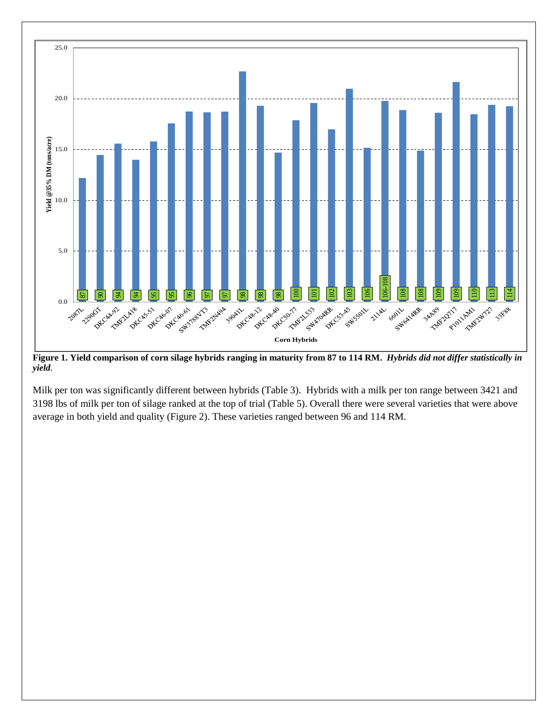

**Figure 1. Yield comparison of corn silage hybrids ranging in maturity from 87 to 114 RM.** *Hybrids did not differ statistically in yield.*

Milk per ton was significantly different between hybrids (Table 3). Hybrids with a milk per ton range between 3421 and 3198 lbs of milk per ton of silage ranked at the top of trial (Table 5). Overall there were several varieties that were above